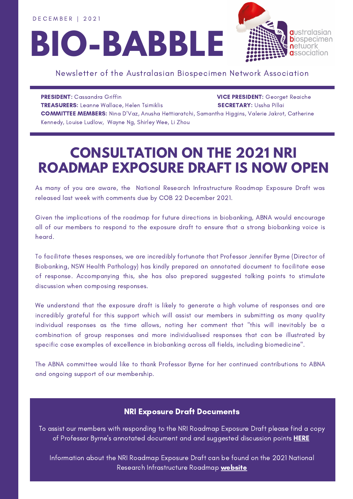D E C E M B E R | 2 0 2 1

# **BIO-BABBLE**



### Newsletter of the Australasian Biospecimen Network Association

### PRESIDENT: Cassandra Griffin VICE PRESIDENT: Georget Reaiche **TREASURERS:** Leanne Wallace, Helen Tsimiklis **SECRETARY:** Ussha Pillai

COMMITTEE MEMBERS: Nina D'Vaz, Anusha Hettiaratchi, Samantha Higgins, Valerie Jakrot, Catherine Kennedy, Louise Ludlow, Wayne Ng, Shirley Wee, Li Zhou

### **CONSULTATION ON THE 2021 NRI ROADMAP EXPOSURE DRAFT IS NOW OPEN**

As many of you are aware, the National Research Infrastructure Roadmap Exposure Draft was released last week with comments due by COB 22 December 2021.

Given the implications of the roadmap for future directions in biobanking, ABNA would encourage all of our members to respond to the exposure draft to ensure that a strong biobanking voice is heard.

To facilitate theses responses, we are incredibly fortunate that Professor Jennifer Byrne (Director of Biobanking, NSW Health Pathology) has kindly prepared an annotated document to facilitate ease of response. Accompanying this, she has also prepared suggested talking points to stimulate discussion when composing responses.

We understand that the exposure draft is likely to generate a high volume of responses and are incredibly grateful for this support which will assist our members in submitting as many quality individual responses as the time allows, noting her comment that "this will inevitably be a combination of group responses and more individualised responses that can be illustrated by specific case examples of excellence in biobanking across all fields, including biomedicine".

The ABNA committee would like to thank Professor Byrne for her continued contributions to ABNA and ongoing support of our membership.

#### NRI Exposure Draft Documents

To assist our members with responding to the NRI Roadmap Exposure Draft please find a copy of Professor Byrne's annotated document and and suggested discussion points **[HERE](https://abna.org.au/biobankers/education-resources)** 

Information about the NRI Roadmap Exposure Draft can be found on the 2021 National Research Infrastructure Roadmap [website](https://2021nriroadmap.dese.gov.au/get-involved/exposure-draft/)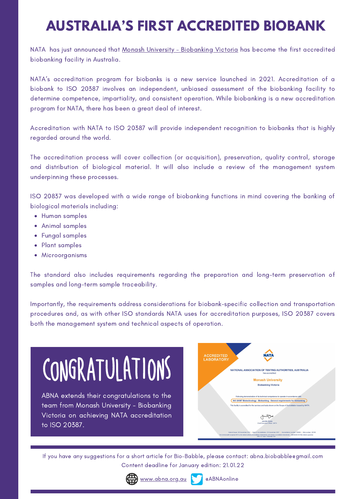## **AUSTRALIA'S FIRST ACCREDITED BIOBANK**

NATA has just announced that Monash University – [Biobanking](https://www.monash.edu/medicine/scs/research/biobanking-victoria-precision-medicine-services) Victoria has become the first accredited biobanking facility in Australia.

NATA's accreditation program for biobanks is a new service launched in 2021. Accreditation of a biobank to ISO 20387 involves an independent, unbiased assessment of the biobanking facility to determine competence, impartiality, and consistent operation. While biobanking is a new accreditation program for NATA, there has been a great deal of interest.

Accreditation with NATA to ISO 20387 will provide independent recognition to biobanks that is highly regarded around the world.

The accreditation process will cover collection (or acquisition), preservation, quality control, storage and distribution of biological material. It will also include a review of the management system underpinning these processes.

ISO 20837 was developed with a wide range of biobanking functions in mind covering the banking of biological materials including:

- Human samples
- Animal samples
- Fungal samples
- Plant samples
- Microorganisms

The standard also includes requirements regarding the preparation and long-term preservation of samples and long-term sample traceability.

Importantly, the requirements address considerations for biobank-specific collection and transportation procedures and, as with other ISO standards NATA uses for accreditation purposes, ISO 20387 covers both the management system and technical aspects of operation.

# CONGRATULATIONS

ABNA extends their congratulations to the team from Monash University - Biobanking Victoria on achieving NATA accreditation to ISO 20387.



If you have any suggestions for a short article for Bio-Babble, please contact: abna.biobabble@gmail.com Content deadline for January edition: 21.01.22